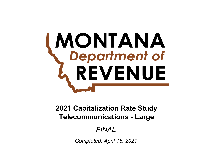# **MONTANA**<br>Chepartment of REVENUE

# **Telecommunications - Large 2021 Capitalization Rate Study**

# *FINAL*

*Completed: April 16, 2021*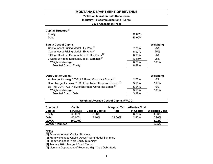# **Yield Capitalization Rate Conclusion**

**Industry: Telecommunications - Large**

**2021 Assessment Year**

| Capital Structure <sup>[1]</sup> |                                                           |                                                                        |                     |                       |                      |
|----------------------------------|-----------------------------------------------------------|------------------------------------------------------------------------|---------------------|-----------------------|----------------------|
| Equity                           |                                                           |                                                                        |                     | 60.00%                |                      |
| Debt                             |                                                           | 40.00%                                                                 |                     |                       |                      |
| <b>Equity Cost of Capital</b>    |                                                           |                                                                        |                     |                       | Weighting            |
|                                  | Capital Asset Pricing Model - Ex Post <sup>[2]</sup>      | 7.25%                                                                  | 25%                 |                       |                      |
|                                  | Capital Asset Pricing Model - Ex Ante [2]                 |                                                                        |                     | 5.97%                 | 25%                  |
|                                  |                                                           | 3 Stage Dividend Discount Model - Dividends <sup>[3]</sup>             |                     | 8.95%                 | 25%                  |
|                                  | 3 Stage Dividend Discount Model - Earnings <sup>[3]</sup> |                                                                        |                     | 10.85%                | 25%                  |
| <b>Weighted Average</b>          |                                                           |                                                                        |                     | 8.26%                 | 100%                 |
|                                  | Selected Cost of Equity                                   |                                                                        |                     | 8.26%                 |                      |
|                                  |                                                           |                                                                        |                     |                       |                      |
| <b>Debt Cost of Capital</b>      |                                                           |                                                                        |                     |                       | Weighting            |
|                                  |                                                           | A - Mergent's - Avg. YTM of A Rated Corporate Bonds <sup>[4]</sup>     |                     | 2.72%                 | $0\%$                |
|                                  |                                                           | Baa - Mergent's - Avg. YTM of Baa Rated Corporate Bonds <sup>[4]</sup> |                     | 3.16%                 | 100%                 |
|                                  |                                                           | Ba - MTDOR - Avg. YTM of Ba Rated Corporate Bonds <sup>[5]</sup>       |                     | 6.54%                 | 0%                   |
| <b>Weighted Average</b>          |                                                           |                                                                        |                     | 3.16%                 | 100%                 |
|                                  | Selected Cost of Debt                                     |                                                                        |                     | 3.16%                 |                      |
|                                  |                                                           |                                                                        |                     |                       |                      |
|                                  |                                                           | <b>Weighted Average Cost of Capital (WACC)</b>                         |                     |                       |                      |
| Source of                        | <b>Capital</b>                                            |                                                                        | <b>Marginal Tax</b> | <b>After-tax Cost</b> |                      |
| <b>Capital</b>                   | <b>Structure</b>                                          | <b>Cost of Capital</b>                                                 | Rate                | of Capital            | <b>Weighted Cost</b> |

| Capital               | Structure | COST OF CADITAL | Rate   | of Gabital | <b>vveighted</b> |
|-----------------------|-----------|-----------------|--------|------------|------------------|
| Equity                | 60.00%    | 8.26%           |        | 8.26%      | 4.96%            |
| Debt                  | 40.00%    | 3.16%           | 24.00% | 2.40%      | 0.96%            |
| <b>WACC</b>           | 100.00%   |                 |        |            | 5.92%            |
| <b>WACC (Rounded)</b> |           |                 |        |            | 5.95%            |
|                       |           |                 |        |            |                  |

# Notes

[1] From worksheet: Capital Structure

[2] From worksheet: Capital Asset Pricing Model Summary

[3] From worksheet: Yield Equity Summary

[4] January 2021, Mergent Bond Record

[5] Montana Department of Revenue High Yield Debt Study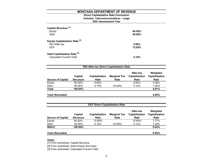# **2021 Assessment Year Industry: Telecommunications - Large Direct Capitalization Rate Conclusion**

| Capital Structure <sup>[1]</sup><br>Equity<br>Debt     | $60.00\%$<br>40.00% |
|--------------------------------------------------------|---------------------|
| <b>Equity Capitalization Rate [2]</b><br>NOI After-tax | 5.60%               |
| <b>GCF</b><br>Debt Capitalization Rate <sup>[3]</sup>  | 12.95%              |
| <b>Calculated Current Yield</b>                        | 4.10%               |

| <b>NOI After-tax Direct Capitalization Rate</b> |                             |                               |                             |                                     |                                    |  |  |  |
|-------------------------------------------------|-----------------------------|-------------------------------|-----------------------------|-------------------------------------|------------------------------------|--|--|--|
| <b>Source of Capital</b>                        | Capital<br><b>Structure</b> | <b>Capitalization</b><br>Rate | <b>Marginal Tax</b><br>Rate | After-tax<br>Capitalization<br>Rate | Weighted<br>Capitalization<br>Rate |  |  |  |
| Equity                                          | 60.00%                      | 5.60%                         |                             | 5.60%                               | 3.36%                              |  |  |  |
| Debt                                            | 40.00%                      | 4.10%                         | 24.00%                      | 3.12%                               | 1.25%                              |  |  |  |
| <b>Total</b>                                    | 100.00%                     |                               |                             |                                     | 4.61%                              |  |  |  |
| Total (Rounded)                                 |                             |                               |                             |                                     | 4.65%                              |  |  |  |

| <b>GCF Direct Capitalization Rate</b> |                             |                               |                             |                                     |                                    |  |  |  |  |
|---------------------------------------|-----------------------------|-------------------------------|-----------------------------|-------------------------------------|------------------------------------|--|--|--|--|
| <b>Source of Capital</b>              | Capital<br><b>Structure</b> | <b>Capitalization</b><br>Rate | <b>Marginal Tax</b><br>Rate | After-tax<br>Capitalization<br>Rate | Weighted<br>Capitalization<br>Rate |  |  |  |  |
| Equity                                | 60.00%                      | 12.95%                        |                             | 12.95%                              | 7.77%                              |  |  |  |  |
| Debt                                  | 40.00%                      | 4.10%                         | 24.00%                      | 3.12%                               | 1.25%                              |  |  |  |  |
| <b>WACC</b>                           | 100.00%                     |                               |                             |                                     | 9.02%                              |  |  |  |  |
| <b>Total (Rounded)</b>                |                             |                               |                             |                                     | 9.05%                              |  |  |  |  |

Notes:

[1] From worksheet: Capital Structure

[2] From worksheet: Direct Equity Summary

[3] From worksheet: Calculated Current Yield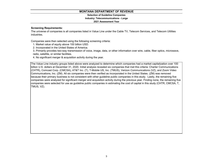# **Selection of Guideline Companies Industry: Telecommunications - Large**

# **2021 Assessment Year**

# **Screening Requirements:**

The universe of companies is all companies listed in Value Line under the Cable TV, Telecom Services, and Telecom Utilities industries.

Companies were then selected using the following screening criteria:

1. Market value of equity above 100 billion USD.

2. Incorporated in the United States of America.

3. Primarily provides two-way transmission of voice, image, data, or other information over wire, cable, fiber optics, microwave, radio, satellite, or similar facilities.

4. No significant merger & acquisition activity during the year.

The Value Line industry groups listed above were analyzed to determine which companies had a market capitalization over 100 billion U.S. dollars at December 31, 2020. Initial analysis revealed six companies that met this criteria: Charter Communications (CHTR), Comcast Corp. (CMCSA), AT&T Inc. (T), T-Mobile US, Inc. (TMUS), Verizon Communications (VZ), and Zoom Video Communications, Inc. (ZM). All six companies were then verified as incorporated in the United States. (ZM) was removed because their primary business is not consistent with other guideline public companies in this study. Lastly, the remaining five companies were analyzed for significant merger and acquisition activity during the previous year. Finding none, the remaining five companies were selected for use as guideline public companies in estimating the cost of capital in this study (CHTR, CMCSA, T, TMUS, VZ).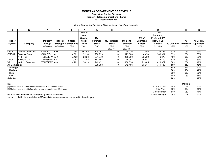# **Support for Capital Structure**

**Industry: Telecommunications - Large**

### **2021 Assessment Year**

# *(\$ and Shares Outstanding In Millions, Except Per Share Amounts)*

| A                    | в                 | C               | D                | Е                      |              | G            | н                   |                  |           | Κ             |          | M                | N         |
|----------------------|-------------------|-----------------|------------------|------------------------|--------------|--------------|---------------------|------------------|-----------|---------------|----------|------------------|-----------|
|                      |                   |                 |                  |                        | End of       |              |                     |                  |           | Total         |          |                  |           |
|                      |                   |                 |                  |                        | Year         |              |                     |                  |           | Common,       |          |                  |           |
|                      |                   |                 |                  |                        | Closing      | <b>MV</b>    |                     |                  | PV of     | Preferred, LT |          |                  |           |
| <b>Ticker</b>        |                   | <b>Industry</b> | <b>Financial</b> | <b>Shares</b>          | <b>Stock</b> | Common       | <b>MV Preferred</b> | <b>MV Long</b>   | Operating | Debt, & Op    |          | %                | % Debt &  |
| Symbol               | Company           | Group           |                  | Strength   Outstanding | Price        | <b>Stock</b> | <b>Stock</b>        | <b>Term Debt</b> | Leases    | Leases        | % Common | <b>Preferred</b> | Op Leases |
|                      |                   | Value Line      | Value Line       | $10-K$                 | Yahoo        | ExF          | $10-K$              | $10-K$           | 10-K      | $G+H+I+J$     | G/K      | H/K              | $(l+J)/K$ |
|                      |                   |                 |                  |                        |              |              | Note [1]            | Note [2]         |           |               |          |                  |           |
| <b>CHTR</b>          | Charter Communic. | <b>CABLETV</b>  | $B++$            | 194                    | 661.55       | 128,163      |                     | 94,226           | 1,345     | 223,734       | 57%      | $0\%$            | 43%       |
| <b>CMCSA</b>         | Comcast Corp.     | <b>CABLETV</b>  | A+               | 4,581                  | 52.16        | 238,933      |                     | 125,600          | 4,458     | 368,991       | 65%      | 0%               | 35%       |
|                      | AT&T Inc.         | TELESERV   A++  |                  | 7,126                  | 28.26        | 201,379      |                     | 189,260          | 25,739    | 416,378       | 48%      | 0%               | 52%       |
| <b>TMUS</b>          | T-Mobile US       | TELESERV B+     |                  | 1,242                  | 134.85       | 167,458      |                     | 75,064           | 30,587    | 273,109       | 61%      | 0%               | 39%       |
| VZ                   | Verizon Communic. | TELESERV A++    |                  | 4,291                  | 58.13        | 249,451      |                     | 158,036          | 21,485    | 428,972       | 58%      | 0%               | 42%       |
| <b>All Companies</b> |                   |                 |                  |                        |              | 985,383      | 0                   | 642,186          | 83,614    | 1,711,183     | 58%      | $0\%$            | 42%       |
| Average              |                   |                 |                  |                        |              |              |                     |                  |           |               | 58%      | 0%               | 42%       |
| Median               |                   |                 |                  |                        |              |              |                     |                  |           |               | 58%      | $0\%$            | 42%       |
| High                 |                   |                 |                  |                        |              |              |                     |                  |           |               | 65%      | 0%               | 52%       |
| Low                  |                   |                 |                  |                        |              |              |                     |                  |           |               | 48%      | 0%               | 35%       |
| <b>Selected</b>      |                   |                 |                  |                        |              |              |                     |                  |           |               | 60%      |                  | 40%       |
|                      |                   |                 |                  |                        |              |              |                     |                  |           |               |          |                  |           |

| Notes:                                                                   |                   |     | Median |     |
|--------------------------------------------------------------------------|-------------------|-----|--------|-----|
| [1] Market value of preferred stock assumed to equal book value          | Current Year      | 58% | 0%     | 42% |
| [2] Market value of debt is fair value of long term debt from 10-K notes | <b>Prior Year</b> | 60% | 0%     | 40% |
|                                                                          | 2 Years Prior     | 54% | 0%     | 46% |
| MCA 15-1-210, rationale for changes to quideline companies:              | 3 Year Average    | 58% | 0%     | 42% |

2021 - T-Mobile added due to M&A activity being completed compared to the prior year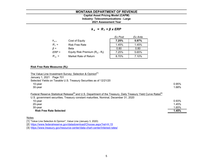# **2021 Assessment Year Industry: Telecommunications - Large Capital Asset Pricing Model (CAPM)**

*k <sup>e</sup>= R <sup>f</sup><sup>+</sup>β x ERP*

|              |                                   | Ex Post | Ex Ante |
|--------------|-----------------------------------|---------|---------|
| $K_{\rho}$ = | Cost of Equity                    | 7.25%   | 5.97%   |
| $R_f =$      | <b>Risk Free Rate</b>             | 1.45%   | 1.45%   |
| $\beta =$    | Beta                              | 0.80    | 0.80    |
| $ERP =$      | Equity Risk Premium $(R_m - R_f)$ | 7.25%   | 5.65%   |
| $R_m =$      | Market Rate of Return             | 8.70%   | 7.10%   |

# **Risk Free Rate Measures (Rf):**

| The Value Line Investment Survey: Selection & Opinion <sup>[1]</sup><br>January 1, 2021 Page 701<br>Selected Yields on Taxable U.S. Treasury Securities as of 12/21/20                                                          |       |
|---------------------------------------------------------------------------------------------------------------------------------------------------------------------------------------------------------------------------------|-------|
| 10-year                                                                                                                                                                                                                         | 0.95% |
| 30-year                                                                                                                                                                                                                         | 1.68% |
| Federal Reserve Statistical Release <sup>[2]</sup> and U.S. Department of the Treasury, Daily Treasury Yield Curve Rates <sup>[3]</sup><br>U.S. government securities, Treasury constant maturities, Nominal, December 31, 2020 |       |
| 10-year                                                                                                                                                                                                                         | 0.93% |
| 20-year                                                                                                                                                                                                                         | 1.45% |
| 30-year                                                                                                                                                                                                                         | 1.65% |
| <b>Risk Free Rate Selected</b>                                                                                                                                                                                                  | 1.45% |
|                                                                                                                                                                                                                                 |       |

# Notes

[1] "Value Line Selection & Opinion", Value Line (January 3, 2020)

[2] https://www.federalreserve.gov/datadownload/Choose.aspx?rel=H.15

[3] https://www.treasury.gov/resource-center/data-chart-center/interest-rates/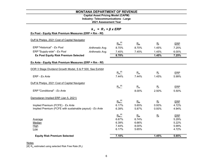# **Capital Asset Pricing Model (CAPM)**

**Industry: Telecommunications - Large**

**2021 Assessment Year**

| $k_e$ = $R_f$ + $\beta$ x ERP<br>Ex Post - Equity Risk Premium Measures (ERP = Rm - Rf) |                 |             |       |                           |            |  |  |
|-----------------------------------------------------------------------------------------|-----------------|-------------|-------|---------------------------|------------|--|--|
| Duff & Phelps, 2021 Cost of Capital Navigator                                           |                 |             |       |                           |            |  |  |
|                                                                                         |                 | $R_m^{[4]}$ | $R_m$ | $R_{\rm f}$               | ERP        |  |  |
| ERP "Historical" - Ex Post                                                              | Arithmetic Avg. | 8.70%       | 8.70% | 1.45%                     | 7.25%      |  |  |
| ERP "Supply-side" - Ex Post                                                             | Arithmetic Avg. | 7.45%       | 7.45% | 1.45%                     | 6.00%      |  |  |
| <b>Ex Post Equity Risk Premium Selected</b>                                             |                 | 8.70%       |       | 1.45%                     | 7.25%      |  |  |
| Ex Ante - Equity Risk Premium Measures (ERP = Rm - Rf)                                  |                 |             |       |                           |            |  |  |
| DOR 3 Stage Dividend Growth Model, S & P 500, See Exhibit                               |                 |             |       |                           |            |  |  |
|                                                                                         |                 | $R_m^{[4]}$ | $R_m$ | $R_{\rm f}$               | ERP        |  |  |
| ERP - Ex Ante                                                                           |                 | 7.44%       | 7.44% | 1.45%                     | 5.99%      |  |  |
| Duff & Phelps, 2021 Cost of Capital Navigator                                           |                 |             |       |                           |            |  |  |
|                                                                                         |                 | $R_m^{[4]}$ | $R_m$ | $R_{\rm f}$               | ERP        |  |  |
| ERP "Conditional" - Ex Ante                                                             |                 |             | 8.00% | 2.50%                     | 5.50%      |  |  |
| Damodaran Implied ERP (Jan 5, 2021)                                                     |                 |             |       |                           |            |  |  |
|                                                                                         |                 | $R_m^{[4]}$ | $R_m$ | $\mathbf{R}_{\mathrm{f}}$ | ERP        |  |  |
| Implied Premium (FCFE) - Ex Ante                                                        |                 | 6.17%       | 5.65% | 0.93%                     | 4.72%      |  |  |
| Implied Premium (FCFE with sustainable payout) - Ex Ante                                |                 | 6.39%       | 5.87% | 0.93%                     | 4.94%      |  |  |
|                                                                                         |                 | $R_m^{[4]}$ | $R_m$ | $R_{\rm f}$               | <b>ERP</b> |  |  |
| Average                                                                                 |                 | 6.67%       | 6.74% |                           | 5.29%      |  |  |
| Median                                                                                  |                 | 6.39%       | 6.66% |                           | 5.22%      |  |  |
| <b>High</b>                                                                             |                 | 7.44%       | 8.00% |                           | 5.99%      |  |  |
| Low                                                                                     |                 | 6.17%       | 5.65% |                           | 4.72%      |  |  |
| <b>Equity Risk Premium Selected</b>                                                     |                 | 7.10%       |       | 1.45%                     | 5.65%      |  |  |

# <u>Notes</u>

[4]  $R_m$  estimated using selected Risk Free Rate (R<sub>f</sub>)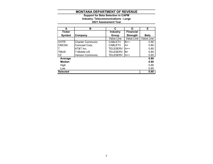# **2021 Assessment Year Industry: Telecommunications - Large Support for Beta Selection in CAPM**

| A               | в                        | C               | D                | Е           |
|-----------------|--------------------------|-----------------|------------------|-------------|
| <b>Ticker</b>   |                          | <b>Industry</b> | <b>Financial</b> |             |
| Symbol          | Company                  | Group           | <b>Strength</b>  | <b>Beta</b> |
|                 |                          | Value Line      | Value Line       | Value Line  |
| <b>CHTR</b>     | <b>Charter Communic.</b> | <b>CABLETV</b>  | B++              | 0.90        |
| <b>CMCSA</b>    | Comcast Corp.            | <b>CABLETV</b>  | A+               | 0.80        |
| т               | AT&T Inc.                | <b>TELESERV</b> | A++              | 0.85        |
| TMUS            | T-Mobile US              | <b>TELESERV</b> | B+               | 0.80        |
| VZ              | Verizon Communic.        | <b>TELESERV</b> | $A++$            | 0.65        |
| Average         |                          |                 |                  | 0.80        |
| <b>Median</b>   |                          |                 |                  | 0.80        |
| High            |                          |                 |                  | 0.90        |
| Low             |                          |                 |                  | 0.65        |
| <b>Selected</b> |                          |                 |                  | 0.80        |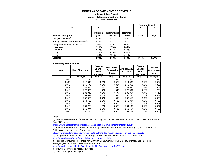# **Inflation & Real Growth**

# **Industry: Telecommunications - Large**

### **2021 Assessment Year**

|                                                   |                    |                             |                          |       | <b>Nominal Growth</b> |
|---------------------------------------------------|--------------------|-----------------------------|--------------------------|-------|-----------------------|
| A                                                 | в                  | C                           | D                        | Е     | F                     |
| <b>Source Description</b>                         | Inflation<br>(CPI) | <b>Real Growth</b><br>(GDP) | <b>Nominal</b><br>Growth | Low   | High                  |
| Livingston Survey <sup>[1]</sup>                  | 2.19%              | 2.21%                       | 4.40%                    |       |                       |
| Survey of Professional Forecasters <sup>[2]</sup> | 2.24%              | 2.27%                       | 4.51%                    |       |                       |
| Congressional Budget Office <sup>[3]</sup>        | 1.90%              | 3.70%                       | 5.60%                    |       |                       |
| Average                                           | 2.11%              | 2.73%                       | 4.84%                    |       |                       |
| Median                                            | 2.19%              | 2.27%                       | 4.46%                    |       |                       |
| High                                              | 2.24%              | 3.70%                       | 5.94%                    |       |                       |
| Low                                               | 1.90%              | 2.21%                       | 4.11%                    |       |                       |
| <b>Selected</b>                                   | 2.00%              | 2.50%                       | 4.50%                    | 4.11% | 5.94%                 |

| <b>Inflationary Trend Factors</b> |                  |                                              |                                             |                                   |                                              |                                              |
|-----------------------------------|------------------|----------------------------------------------|---------------------------------------------|-----------------------------------|----------------------------------------------|----------------------------------------------|
| Year                              | Dec. CPI-U Index | Percent<br>Change<br>From<br><b>Previous</b> | Dec. to Dec.<br>Conversion<br><b>Factor</b> | Annual Avg.<br><b>CPI-U Index</b> | Percent<br>Change<br>From<br><b>Previous</b> | Annual<br><b>Conversion</b><br><b>Factor</b> |
|                                   | Note [5]         | Note [6]                                     | Note [7]                                    | Note [5]                          | Note [6]                                     | Note [7]                                     |
| 2008                              | 210.228          |                                              | 1.2390                                      | 215.303                           |                                              | 1.2021                                       |
| 2009                              | 215.949          | 2.6%                                         | 1.2062                                      | 214.537                           | $-0.4%$                                      | 1.2064                                       |
| 2010                              | 219.179          | 1.5%                                         | 1.1884                                      | 218.056                           | 1.6%                                         | 1.1869                                       |
| 2011                              | 225.672          | 2.9%                                         | 1.1542                                      | 224.939                           | 3.1%                                         | 1.1506                                       |
| 2012                              | 229.601          | 1.7%                                         | 1.1345                                      | 229.594                           | 2.0%                                         | 1.1273                                       |
| 2013                              | 233.049          | 1.5%                                         | 1.1177                                      | 232.957                           | 1.4%                                         | 1.1110                                       |
| 2014                              | 234.812          | 0.8%                                         | 1.1093                                      | 236.736                           | 1.6%                                         | 1.0932                                       |
| 2015                              | 236.525          | 0.7%                                         | 1.1013                                      | 237.017                           | 0.1%                                         | 1.0920                                       |
| 2016                              | 241.432          | 2.0%                                         | 1.0789                                      | 240.007                           | 1.2%                                         | 1.0783                                       |
| 2017                              | 246.524          | 2.1%                                         | 1.0566                                      | 245.120                           | 2.1%                                         | 1.0559                                       |
| 2018                              | 251.233          | 1.9%                                         | 1.0368                                      | 251.107                           | 2.4%                                         | 1.0307                                       |
| 2019                              | 256.974          | 2.2%                                         | 1.0136                                      | 255.657                           | 1.8%                                         | 1.0123                                       |
| 2020                              | 260.474          | 1.3%                                         | 1.0000                                      | 258.811                           | 1.2%                                         | 1.0000                                       |

<u>Notes</u>

[1] Federal Reserve Bank of Philadelphia The Livingston Survey December 18, 2020 Table 3 Inflation Rate and Real GDP mean

https://www.philadelphiafed.org/research-and-data/real-time-center/livingston-survey

[2] Federal Reserve Bank of Philadelphia Survey of Professional Forecasters February 12, 2021 Table 8 and Table 9 Average over next 10-Year mean

https://www.philadelphiafed.org/surveys-and-data/real-time-data-research/survey-of-professional-forecasters

[3] Congressional Budget Office, The Budget and Economic Outlook: 2021 to 2031, Table 2-1

https://www.cbo.gov/about/products/budget-economic-data#4

[5] Historical Consumer Price Index for All Urban Consumers (CPI-U): U.S. city average, all items, index averages (1982-84=100, unless otherwise noted)

https://www.bls.gov/cpi/tables/supplemental-files/historical-cpi-u-202001.pdf

[6] (Row year - Previous Year) / Row Year

[7] Most current year / Row year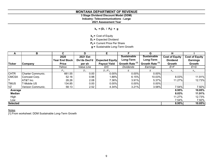# **3 Stage Dividend Discount Model (DDM)**

**Industry: Telecommunications - Large**

**2021 Assessment Year**

 $k_e = (D_1 / P_0) + g$ 

**ke =** Cost of Equity

**D<sub>1</sub>** = Expected Dividend

**P<sub>0</sub>** = Current Price Per Share

**g =** Sustainable Long-Term Growth

| A               | В                 | C.                    | D             | Е                      |                            | G                          | H                     |                       |
|-----------------|-------------------|-----------------------|---------------|------------------------|----------------------------|----------------------------|-----------------------|-----------------------|
|                 |                   | 2020                  | 2021 Est      |                        | <b>Sustainable</b>         | <b>Sustainable</b>         | <b>Cost of Equity</b> | <b>Cost of Equity</b> |
|                 |                   | <b>Year End Stock</b> | Div'ds Decl'd | <b>Expected Equity</b> | Long-Term                  | Long-Term                  | <b>Dividend</b>       | <b>Earnings</b>       |
| <b>Ticker</b>   | <b>Company</b>    | <b>Price</b>          | per sh        | <b>Payout Yield</b>    | Growth Rate <sup>[1]</sup> | Growth Rate <sup>[1]</sup> | Growth                | Growth                |
|                 |                   | Yahoo                 | Value Line    | D/C                    | <b>Dividends</b>           | Earnings                   | E+F                   | $E+G$                 |
|                 |                   | P <sub>0</sub>        | $D_1$         | $D_1/P_0$              | g                          | g                          | $K_e$                 | $k_e$                 |
| <b>CHTR</b>     | Charter Communic. | 661.55                | 0.00          | 0.00%                  | 0.00%                      | 0.00%                      |                       |                       |
| <b>CMCSA</b>    | Comcast Corp.     | 52.16                 | 0.98          | 1.88%                  | 6.15%                      | 10.03%                     | 8.03%                 | 11.91%                |
|                 | AT&T Inc.         | 28.26                 | 2.08          | 7.36%                  | 3.91%                      | 5.37%                      | 11.27%                | 12.73%                |
| <b>TMUS</b>     | T-Mobile US       | 134.85                | 0.00          | $0.00\%$               | 0.00%                      | 0.00%                      |                       |                       |
| VZ              | Verizon Communic. | 58.13                 | 2.52          | 4.34%                  | 3.21%                      | 3.58%                      | 7.54%                 | 7.92%                 |
| Average         |                   |                       |               |                        |                            |                            | 8.95%                 | 10.85%                |
| <b>Median</b>   |                   |                       |               |                        |                            |                            | 8.03%                 | 11.91%                |
| High            |                   |                       |               |                        |                            |                            | 11.27%                | 12.73%                |
| Low             |                   |                       |               |                        |                            |                            | 7.54%                 | 7.92%                 |
| <b>Selected</b> |                   |                       |               |                        |                            |                            | 8.95%                 | 10.85%                |

# <u>Notes</u>

[1] From worksheet: DDM Sustainable Long-Term Growth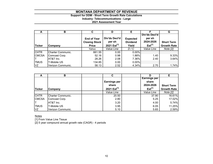# **Support for DDM - Short Term Growth Rate Calculations**

**Industry: Telecommunications - Large**

# **2021 Assessment Year**

| A             | в                        | C                    | D                | Е               |                     | G                  |
|---------------|--------------------------|----------------------|------------------|-----------------|---------------------|--------------------|
|               |                          |                      |                  |                 | Div'ds Decl'd       |                    |
|               |                          | <b>End of Year</b>   | Div'ds Decl'd    | <b>Expected</b> | per sh<br>2024-2026 |                    |
|               |                          | <b>Closing Stock</b> | per sh           | <b>Dividend</b> |                     | <b>Short Term</b>  |
| <b>Ticker</b> | Company                  | <b>Price</b>         | 2021 $Est^{[1]}$ | Yield           | $Est^{[1]}$         | <b>Growth Rate</b> |
|               |                          | Yahoo                | Value Line       | D/C             | Value Line          | Note [2]           |
| <b>CHTR</b>   | <b>Charter Communic.</b> | 661.55               | 0.00             | $0.00\%$        |                     |                    |
| <b>CMCSA</b>  | Comcast Corp.            | 52.16                | 0.98             | 1.88%           | 1.40                | 9.33%              |
|               | AT&T Inc.                | 28.26                | 2.08             | 7.36%           | 2.40                | 3.64%              |
| <b>TMUS</b>   | T-Mobile US              | 134.85               | 0.00             | $0.00\%$        |                     |                    |
| VZ            | Verizon Communic.        | 58.13                | 2.52             | 4.34%           | 2.70                | 1.74%              |

| A             | в                 | C                       |                     | Е                  |
|---------------|-------------------|-------------------------|---------------------|--------------------|
|               |                   |                         | <b>Earnings per</b> |                    |
|               |                   | <b>Earnings per</b>     | share               |                    |
|               |                   | share                   | 2024-2026           | <b>Short Term</b>  |
| <b>Ticker</b> | Company           | 2021 Est <sup>[1]</sup> | Est <sup>[1]</sup>  | <b>Growth Rate</b> |
|               |                   | Value Line              | Value Line          | Note [2]           |
| <b>CHTR</b>   | Charter Communic. | 20.50                   |                     | 16.61%<br>37.90    |
| <b>CMCSA</b>  | Comcast Corp.     | 2.80                    |                     | 17.02%<br>5.25     |
|               | AT&T Inc.         | 3.20                    |                     | 5.74%<br>4.00      |
| <b>TMUS</b>   | T-Mobile US       | 3.95                    |                     | 11.25%<br>6.05     |
| VZ            | Verizon Communic. | 5.10                    |                     | 2.59%<br>5.65      |

<u>Notes</u>

[1] From Value Line Tissue

[2] 5 year compound annual growth rate (CAGR) - 4 periods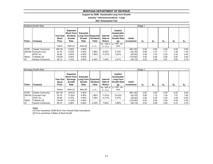# **Support for DDM - Sustainable Long Term Growth**

**Industry: Telecommunications - Large**

### **2021 Assessment Year**

|             | Dividend Growth Rate |                                          |                                                                    |                                                  |                          |                               |                                                           |                              | Stage 1 |                |       |       |       |
|-------------|----------------------|------------------------------------------|--------------------------------------------------------------------|--------------------------------------------------|--------------------------|-------------------------------|-----------------------------------------------------------|------------------------------|---------|----------------|-------|-------|-------|
| Ticker      | Company              | <b>Year End</b><br><b>Stock</b><br>Price | Expected<br><b>Short-Term</b><br><b>Dividend</b><br>Growth<br>Rate | Expected<br>Long-Term Expected<br>Growth<br>Rate | <b>Dividend</b><br>Yield | Internal<br>Rate of<br>Return | Implied<br>Sustainable<br>Long-Term<br>Growth Rate<br>(g) | <b>Initial</b><br>Investment | $D_4$   | D <sub>2</sub> | $D_3$ | $D_4$ | $D_5$ |
|             |                      |                                          |                                                                    |                                                  |                          |                               | $Ke = IRR$ of $ g = IRR - Div.$                           |                              |         |                |       |       |       |
|             |                      | Yahoo                                    | Note [1]                                                           | Note [2]                                         | $D_1/P_0$                | $D_1$ : $D_{500}$             | Yield                                                     |                              |         |                |       |       |       |
| <b>CHTR</b> | Charter Communic.    | 661.55                                   | $0.00\%$                                                           | 4.50%                                            |                          |                               |                                                           | (661.55)                     | 0.00    | 0.00           | 0.00  | 0.00  | 0.00  |
|             | CMCSA Comcast Corp.  | 52.16                                    | 9.33%                                                              | 4.50%                                            | 1.88%                    | 8.03%                         | 6.15%                                                     | (52.16)                      | 0.98    | 1.07           | 1.17  | 1.28  | 1.40  |
|             | AT&T Inc.            | 28.26                                    | 3.64%                                                              | 4.50%                                            | 7.36%                    | 11.27%                        | 3.91%                                                     | (28.26)                      | 2.08    | 2.16           | 2.23  | 2.32  | 2.40  |
| <b>TMUS</b> | <b>T-Mobile US</b>   | 134.85                                   | 0.00%                                                              | 4.50%                                            |                          |                               |                                                           | (134.85)                     | 0.00    | 0.00           | 0.00  | 0.00  | 0.00  |
| VZ          | Verizon Communic.    | 58.13                                    | .74%                                                               | 4.50%                                            | 4.34%                    | 7.54%                         | 3.21%                                                     | (58.13)                      | 2.52    | 2.56           | 2.61  | 2.65  | 2.70  |

|             | Earnings Growth Rate                         |        | Stage 1                                                                   |                            |                                                |                   |                                                                  |                              |       |                |       |       |       |
|-------------|----------------------------------------------|--------|---------------------------------------------------------------------------|----------------------------|------------------------------------------------|-------------------|------------------------------------------------------------------|------------------------------|-------|----------------|-------|-------|-------|
| Ticker      | Year End<br><b>Stock</b><br>Price<br>Company |        | <b>Expected</b><br><b>Short-Term</b><br><b>Earnings</b><br>Growth<br>Rate | Expected<br>Growth<br>Rate | Long-Term Expected<br><b>Dividend</b><br>Yield |                   | Implied<br>Sustainable<br>Long-Term<br><b>Growth Rate</b><br>(g) | <b>Initial</b><br>Investment | $D_1$ | D <sub>2</sub> | $D_3$ | $D_4$ | $D_5$ |
|             |                                              | Yahoo  | Note [1]                                                                  | Note [2]                   | $D_1/P_0$                                      | $D_1$ : $D_{500}$ | $Ke = IRR$ of $ g = IRR - Div.$<br>Yield                         |                              |       |                |       |       |       |
| <b>CHTR</b> | Charter Communic.                            | 661.55 | 16.61%                                                                    | 4.50%                      |                                                |                   |                                                                  | (661.55)                     | 0.00  | 0.00           | 0.00  | 0.00  | 0.00  |
|             | CMCSA Comcast Corp.                          | 52.16  | 17.02%                                                                    | 4.50%                      | 1.88%                                          | 11.91%            | 10.03%                                                           | (52.16)                      | 0.98  | 1.15           | 1.34  | 1.57  | 1.84  |
| lΤ          | AT&T Inc.                                    | 28.26  | 5.74%                                                                     | 4.50%                      | 7.36%                                          | 12.73%            | 5.37%                                                            | (28.26)                      | 2.08  | 2.20           | 2.33  | 2.46  | 2.60  |
| <b>TMUS</b> | T-Mobile US                                  | 134.85 | 11.25%                                                                    | 4.50%                      |                                                |                   |                                                                  | (134.85)                     | 0.00  | 0.00           | 0.00  | 0.00  | 0.00  |
| VZ          | Verizon Communic.                            | 58.13  | 2.59%                                                                     | 4.50%                      | 4.34%                                          | 7.92%             | 3.58%                                                            | (58.13)                      | 2.52  | 2.59           | 2.65  | 2.72  | 2.79  |

<u>Notes</u><br>[1] From worksheet: DDM Short Term Growth Rate Calculations [2] From worksheet: Inflation & Real Growth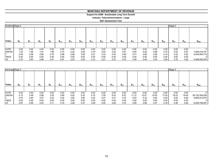# **Support for DDM - Sustainable Long Term Growth**

**Industry: Telecommunications - Large**

| Dividend Stage 2 |       |      |       |                |          |          |          |          |          |          |          |          |          |          |          | Stage 3  |          |               |
|------------------|-------|------|-------|----------------|----------|----------|----------|----------|----------|----------|----------|----------|----------|----------|----------|----------|----------|---------------|
| Ticker           | $D_6$ | D,   | $D_8$ | D <sub>9</sub> | $D_{10}$ | $D_{11}$ | $D_{12}$ | $D_{13}$ | $D_{14}$ | $D_{15}$ | $D_{16}$ | $D_{17}$ | $D_{18}$ | $D_{19}$ | $D_{20}$ | $D_{21}$ | $D_{22}$ | $D_{500}$     |
|                  |       |      |       |                |          |          |          |          |          |          |          |          |          |          |          |          |          |               |
| <b>CHTR</b>      | 0.00  | 0.00 | 0.00  | 0.00           | 0.00     | 0.00     | 0.00     | 0.00     | 0.00     | 0.00     | 0.00     | 0.00     | 0.00     | 0.00     | 0.00     | 0.00     | 0.00     |               |
| <b>CMCSA</b>     | 1.53  | 1.66 | 1.81  | 1.98           | 2.15     | 2.35     | 2.56     | 2.79     | 3.04     | 3.32     | 3.61     | 3.94     | 4.29     | 4.68     | 5.10     | 5.33     | 5.57     | 7,649,418,781 |
|                  | 2.49  | 2.58 | 2.68  | 2.78           | 2.88     | 2.98     | 3.09     | 3.21     | 3.33     | 3.45     | 3.58     | 3.71     | 3.85     | 3.99     | 4.14     | 4.32     | 4.52     | 6,204,094,719 |
| <b>TMUS</b>      | 0.00  | 0.00 | 0.00  | 0.00           | 0.00     | 0.00     | 0.00     | 0.00     | 0.00     | 0.00     | 0.00     | 0.00     | 0.00     | 0.00     | 0.00     | 0.00     | 0.00     |               |
| VZ               | 2.75  | 2.80 | 2.86  | 2.91           | 2.97     | 3.03     | 3.09     | 3.14     | 3.21     | 3.27     | 3.33     | 3.39     | 3.46     | 3.53     | 3.59     | 3.76     | 3.92     | 5,386,629,505 |

|               | Earnings Stage 2 |                |       |       |          |          |          |          |          |          |          |          |          |          | Stage 3  |          |          |                |
|---------------|------------------|----------------|-------|-------|----------|----------|----------|----------|----------|----------|----------|----------|----------|----------|----------|----------|----------|----------------|
| <b>Ticker</b> | $D_{\kappa}$     | D <sub>7</sub> | $D_8$ | $D_9$ | $D_{10}$ | $D_{11}$ | $D_{12}$ | $D_{13}$ | $D_{14}$ | $D_{15}$ | $D_{16}$ | $D_{17}$ | $D_{18}$ | $D_{19}$ | $D_{20}$ | $D_{21}$ | $D_{22}$ | $D_{500}$      |
|               |                  |                |       |       |          |          |          |          |          |          |          |          |          |          |          |          |          |                |
| <b>CHTR</b>   | 0.00             | 0.00           | 0.00  | 0.00  | 0.00     | 0.00     | 0.00     | 0.00     | 0.00     | 0.00     | 0.00     | 0.00     | 0.00     | 0.00     | 0.00     | 0.00     | 0.00     | 0              |
| <b>CMCSA</b>  | 2.13             | 2.48           | 2.88  | 3.35  | 3.89     | 4.52     | 5.25     | 6.10     | 7.09     | 8.23     | 9.57     | 11.12    | 12.91    | 15.00    | 17.43    | 18.22    | 19.04    | 26,132,354,636 |
|               | 2.75             | 2.90           | 3.07  | 3.24  | 3.42     | 3.62     | 3.82     | 4.04     | 4.27     | 4.51     | 4.76     | 5.03     | 5.32     | 5.62     | 5.93     | 6.20     | 6.48     | 8,894,510,970  |
| <b>TMUS</b>   | 0.00             | 0.00           | 0.00  | 0.00  | 0.00     | 0.00     | 0.00     | 0.00     | 0.00     | 0.00     | 0.00     | 0.00     | 0.00     | 0.00     | 0.00     | 0.00     | 0.00     | 0              |
| VZ            | 2.87             | 2.95           | 3.03  | 3.11  | 3.19     | 3.28     | 3.37     | 3.46     | 3.55     | 3.65     | 3.75     | 3.85     | 3.96     | 4.07     | 4.18     | 4.36     | 4.56     | 6,259,758,081  |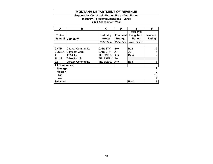### **Support for Yield Capitalization Rate - Debt Rating**

**Industry: Telecommunications - Large**

| A                    | в                        | С               | D                | Е                | F              |
|----------------------|--------------------------|-----------------|------------------|------------------|----------------|
|                      |                          |                 |                  | Moody's          |                |
| <b>Ticker</b>        |                          | <b>Industry</b> | <b>Financial</b> | <b>Long Term</b> | <b>Numeric</b> |
|                      | <b>Symbol Company</b>    | Group           | <b>Strength</b>  | Rating           | Rating         |
|                      |                          | Value Line      | Value Line       | Moodys.com       |                |
|                      |                          |                 |                  |                  |                |
| <b>CHTR</b>          | <b>Charter Communic.</b> | <b>CABLETV</b>  | $B++$            | Ba2              | 12             |
| <b>CMCSA</b>         | Comcast Corp.            | <b>CABLETV</b>  | A+               | A3               |                |
|                      | AT&T Inc.                | <b>TELESERV</b> | $A++$            | Baa2             | 9              |
| <b>TMUS</b>          | <b>T-Mobile US</b>       | <b>TELESERV</b> | B+               |                  |                |
| VZ                   | Verizon Communic.        | <b>TELESERV</b> | $A++$            | Baa1             | 8              |
| <b>All Companies</b> |                          |                 |                  |                  |                |
| Average              |                          |                 |                  |                  | 9              |
| <b>Median</b>        |                          |                 |                  |                  | 9              |
| High                 |                          |                 |                  |                  | 12             |
| Low                  |                          |                 |                  |                  |                |
| <b>Selected</b>      |                          |                 |                  | Baa2             | 9              |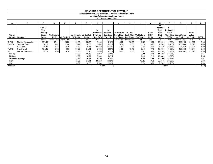### **Support for Direct Capitalization - Equity Capitalization Rates**

**Industry: Telecommunications - Large**

| A               | в                      | u              | D                  |            |                        | G     | н           |          |                                            | n          |                        | IVІ           | N                             | O                     |                                | Q           | R           |
|-----------------|------------------------|----------------|--------------------|------------|------------------------|-------|-------------|----------|--------------------------------------------|------------|------------------------|---------------|-------------------------------|-----------------------|--------------------------------|-------------|-------------|
|                 |                        | End of<br>Year |                    |            |                        |       | Ke          | Ke       |                                            |            |                        |               | Ke<br><b>Estimate</b><br>Cash | Ke<br><b>Estimate</b> |                                |             |             |
|                 |                        | Closing        |                    |            |                        |       | Estimate -  |          | Estimate - VL Historic                     | VL Est     |                        | <b>VL Est</b> | <b>Flow</b>                   | Cash                  |                                | <b>Book</b> |             |
| Ticker          |                        | <b>Stock</b>   | <b>VL Historic</b> |            | VL Historic VL Est P/E |       | Earnings    | Earnings | <b>Cash Flow   Cash Flow   VL Historic</b> |            |                        | <b>P/CF</b>   | (Hist.                        |                       | <b>Flow (Est. Market Value</b> | Value       |             |
|                 | Symbol Company         | Price          | <b>EPS</b>         |            | VL Est EPS P/E Ratio   | Ratio | (Hist. P/E) |          | (Est. P/E) Per Share                       |            | Per Share   P/CF Ratio | Ratio         | P(CF)                         | P(CF)                 | of Equity                      | of Equity   | <b>MTBR</b> |
|                 |                        | Yahoo          | Value Line         | Value Line | C/D                    | C/E   | 1/F         | 1/G      | Value Line                                 | Value Line | C/J                    | C/K           | 1/L                           | 1/M                   | Price x Shrs                   | $10-K$      | P/Q         |
| <b>CHTR</b>     | Charter Communic.      | 661.55         | 15.44              | 20.50      | 42.85                  | 32.27 | 2.33%       | 3.10%    | 66.72                                      | 73.35      | 9.92                   | 9.02          | 10.09%                        | 11.09%                | 128,163                        | 23,805      | 5.38        |
| <b>CMCSA</b>    | Comcast Corp.          | 52.16          | 2.61               | 2.80       | 19.99                  | 18.63 | 5.00%       | 5.37%    | 5.09                                       | 5.35       | 10.25                  | 9.75          | 9.76%                         | 10.26%                | 238,933                        | 90,323      | 2.65        |
|                 | AT&T Inc.              | 28.26          | 3.18               | 3.20       | 8.89                   | 8.83  | 11.25%      | 11.32%   | 7.52                                       | 7.25       | 3.76                   | 3.90          | 26.61%                        | 25.65%                | 201,379                        | 184,221     | 1.09        |
| <b>TMUS</b>     | T-Mobile US            | 134.85         | 3.72               | 3.95       | 36.25                  | 34.14 | 2.76%       | 2.93%    | 14.80                                      | 18.75      | 9.11                   | 7.19          | 10.98%                        | 13.90%                | 167,458                        | 65,344      | 2.56        |
| VZ              | Verizon Communic.      | 58.13          | 4.90               | 5.10       | 11.86                  | 11.40 | 8.43%       | 8.77%    | 8.85                                       | 9.00       | 6.57                   | 6.46          | 15.23%                        | 15.48%                | 249,451                        | 61,395      | 4.06        |
| Average         |                        |                |                    |            | 23.97                  | 21.05 | 5.96%       | 6.30%    |                                            |            | 7.92                   | 7.26          | 14.53%                        | 15.28%                |                                |             | 3.15        |
| Median          |                        |                |                    |            | 19.99                  | 18.63 | 5.00%       | 5.37%    |                                            |            | 9.11                   | 7.19          | 10.98%                        | 13.90%                |                                |             | 2.65        |
|                 | <b>Trimmed Average</b> |                |                    |            | 22.70                  | 20.77 | 5.40%       | 5.75%    |                                            |            | 8.53                   | 7.56          | 12.10%                        | 13.49%                |                                |             | 2.07        |
| High            |                        |                |                    |            | 42.85                  | 34.14 | 11.25%      | 11.32%   |                                            |            | 10.25                  | 9.75          | 26.61%                        | 25.65%                |                                |             | 5.38        |
| Low             |                        |                |                    |            | 8.89                   | 8.83  | 2.33%       | 2.93%    |                                            |            | 3.76                   | 3.90          | 9.76%                         | 10.26%                |                                |             | 1.09        |
| <b>Selected</b> |                        |                |                    |            |                        |       |             | 5.60%    |                                            |            |                        |               |                               | 12.95%                |                                |             | 2.10        |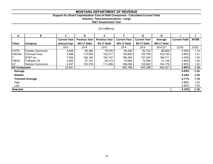# **Support for Direct Capitalization Cost of Debt Component - Calculated Current Yield**

**Industry: Telecommunications - Large**

**2021 Assessment Year**

# *(\$ in Millions)*

| A                    | B                      | C                   | D                    | E.                   | F                   | G                   | н                 |                      |             |
|----------------------|------------------------|---------------------|----------------------|----------------------|---------------------|---------------------|-------------------|----------------------|-------------|
|                      |                        | <b>Current Year</b> | <b>Previous Year</b> | <b>Previous Year</b> | <b>Current Year</b> | <b>Current Year</b> | Average           | <b>Current Yield</b> | <b>MTBR</b> |
| <b>Ticker</b>        | <b>Company</b>         | Interest Exp.       | <b>MV LT Debt</b>    | <b>BV LT Debt</b>    | <b>MV LT Debt</b>   | <b>BV LT Debt</b>   | <b>MV LT Debt</b> |                      |             |
|                      |                        | $10-K$              | $10-K$               | $10-K$               | 10-K                | $10-K$              | $(D+F)/2$         | (C/H)                | (F/G)       |
| <b>CHTR</b>          | Charter Communic.      | 3,848               | 85,386               | 79,078               | 94,226              | 82,752              | 89,806            | 4.28%                | 1.14        |
| <b>CMCSA</b>         | Comcast Corp.          | 4,588               | 115,800              | 102,217              | 125,600             | 103,760             | 120,700           | 3.80%                | 1.21        |
|                      | AT&T Inc.              | 7,925               | 184,162              | 163,147              | 189,260             | 157,245             | 186,711           | 4.24%                | 1.20        |
| <b>TMUS</b>          | T-Mobile US            | 2,483               | 27,191               | 26,315               | 75,064              | 72,569              | 51,128            | 4.86%                | 1.03        |
| VZ                   | Verizon Communic.      | 4,247               | 130,316              | 111,489              | 158,036             | 129,062             | 144,176           | 2.95%                | 1.22        |
| <b>All Companies</b> |                        | 23,091              |                      |                      | 642,186             | 545,388             | 592,521           | 3.90%                | 1.18        |
| Average              |                        |                     |                      |                      |                     |                     |                   | 4.03%                | 1.16        |
| Median               |                        |                     |                      |                      |                     |                     |                   | 4.24%                | 1.20        |
|                      | <b>Trimmed Average</b> |                     |                      |                      |                     |                     |                   | 4.11%                | 1.18        |
| High                 |                        |                     |                      |                      |                     |                     |                   | 4.86%                | 1.22        |
| Low                  |                        |                     |                      |                      |                     |                     |                   | 2.95%                | 1.03        |
| <b>Selected</b>      |                        |                     |                      |                      |                     |                     |                   | 4.10%                | 1.18        |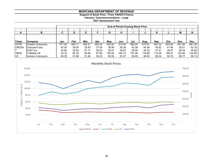**Support of Stock Price - From YAHOO Finance**

**Industry: Telecommunications - Large**

|              |                           | <b>End of Period Closing Stock Price</b><br>14 |                |        |        |        |        |        |        |        |        |        |        |  |  |
|--------------|---------------------------|------------------------------------------------|----------------|--------|--------|--------|--------|--------|--------|--------|--------|--------|--------|--|--|
|              |                           |                                                | 10<br>12<br>10 |        |        |        |        |        |        |        |        |        |        |  |  |
| A            | в                         | С                                              | D              |        |        | G      | н      |        |        | n      |        | М      | N      |  |  |
|              |                           |                                                |                |        |        |        |        |        |        |        |        |        |        |  |  |
|              |                           |                                                |                |        |        |        |        |        |        |        |        |        |        |  |  |
| Ticker       | Company                   | Jan.                                           | Feb.           | Mar.   | Apr.   | May.   | Jun.   | Jul.   | Aug.   | Sep.   | Oct.   | Nov.   | Dec.   |  |  |
| <b>CHTR</b>  | <b>ICharter Communic.</b> | 517.46                                         | 493.17         | 436.31 | 495.23 | 544.00 | 510.04 | 580.00 | 615.61 | 624.34 | 603.82 | 651.99 | 661.55 |  |  |
| <b>CMCSA</b> | Comcast Corp.             | 42.05                                          | 39.55          | 33.63  | 37.05  | 38.99  | 38.38  | 42.39  | 44.38  | 45.82  | 41.84  | 50.01  | 52.16  |  |  |
|              | AT&T Inc.                 | 34.60                                          | 32.83          | 27.17  | 28.40  | 29.27  | 28.67  | 28.05  | 28.76  | 27.51  | 26.07  | 28.25  | 28.26  |  |  |
| <b>ITMUS</b> | <b>IT-Mobile US</b>       | 79.19                                          | 90.16          | 83.90  | 87.80  | 100.04 | 104.15 | 107.38 | 116.68 | 114.36 | 109.57 | 132.94 | 134.85 |  |  |
| VZ           | Verizon Communic.         | 56.35                                          | 51.88          | 51.46  | 55.03  | 55.55  | 53.37  | 55.65  | 58.02  | 58.24  | 55.79  | 59.77  | 58.13  |  |  |